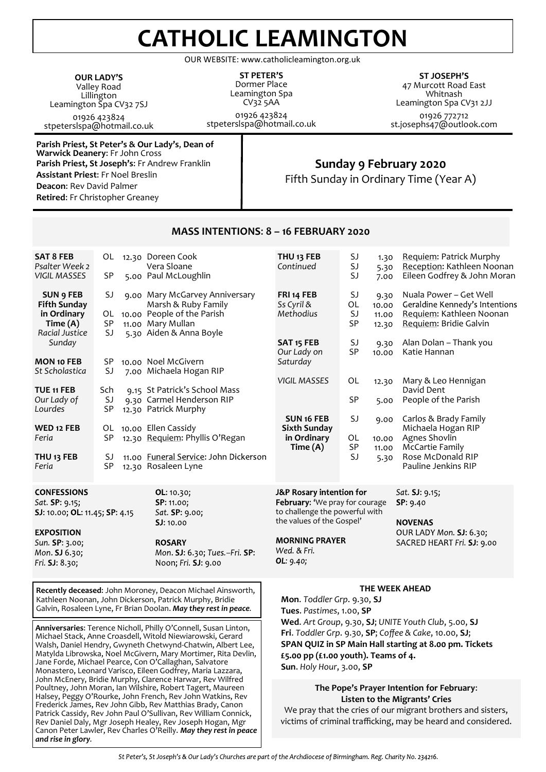# **CATHOLIC LEAMINGTON**

OUR WEBSITE: www.catholicleamington.org.uk

**OUR LADY'S** Valley Road Lillington Leamington Spa CV32 7SJ 01926 423824 stpeterslspa@hotmail.co.uk

**Parish Priest, St Peter's & Our Lady's**, **Dean of Warwick Deanery**: Fr John Cross **Parish Priest, St Joseph's**: Fr Andrew Franklin **Assistant Priest**: Fr Noel Breslin **Deacon**: Rev David Palmer **Retired**: Fr Christopher Greaney

Poultney, John Moran, Ian Wilshire, Robert Tagert, Maureen Halsey, Peggy O'Rourke, John French, Rev John Watkins, Rev Frederick James, Rev John Gibb, Rev Matthias Brady, Canon Patrick Cassidy, Rev John Paul O'Sullivan, Rev William Connick, Rev Daniel Daly, Mgr Joseph Healey, Rev Joseph Hogan, Mgr Canon Peter Lawler, Rev Charles O'Reilly. *May they rest in peace* 

*and rise in glory.*

#### **ST PETER'S** Dormer Place Leamington Spa CV32 5AA 01926 423824 stpeterslspa@hotmail.co.uk

**ST JOSEPH'S** 47 Murcott Road East Whitnash Leamington Spa CV31 2JJ 01926 772712 st.josephs47@outlook.com

# **Sunday 9 February 2020**

Fifth Sunday in Ordinary Time (Year A)

| <b>SAT 8 FEB</b><br>Psalter Week 2<br><b>VIGIL MASSES</b>                                                                                                                                                                                                                                                                                                                                                                                                                                                           | OL<br>SP        |  | 12.30 Doreen Cook<br>Vera Sloane<br>5.00 Paul McLoughlin                                                                                | THU <sub>13</sub> FEB<br>Continued                                                                                                                                                                                                                                                         | SJ<br>SJ<br>SJ             | 1.30<br>5.30<br>7.00            | Requiem: Patrick Murphy<br>Reception: Kathleen Noonan<br>Eileen Godfrey & John Moran                           |
|---------------------------------------------------------------------------------------------------------------------------------------------------------------------------------------------------------------------------------------------------------------------------------------------------------------------------------------------------------------------------------------------------------------------------------------------------------------------------------------------------------------------|-----------------|--|-----------------------------------------------------------------------------------------------------------------------------------------|--------------------------------------------------------------------------------------------------------------------------------------------------------------------------------------------------------------------------------------------------------------------------------------------|----------------------------|---------------------------------|----------------------------------------------------------------------------------------------------------------|
| <b>SUN 9 FEB</b><br><b>Fifth Sunday</b><br>in Ordinary<br>Time (A)<br>Racial Justice                                                                                                                                                                                                                                                                                                                                                                                                                                | SJ<br>SP<br>SJ  |  | 9.00 Mary McGarvey Anniversary<br>Marsh & Ruby Family<br>OL 10.00 People of the Parish<br>11.00 Mary Mullan<br>5.30 Aiden & Anna Boyle  | FRI 14 FEB<br>Ss Cyril &<br>Methodius                                                                                                                                                                                                                                                      | SJ<br>OL<br>SJ<br>SP<br>SJ | 9.30<br>10.00<br>11.00<br>12.30 | Nuala Power - Get Well<br>Geraldine Kennedy's Intentions<br>Requiem: Kathleen Noonan<br>Requiem: Bridie Galvin |
| Sunday<br><b>MON 10 FEB</b><br>St Scholastica                                                                                                                                                                                                                                                                                                                                                                                                                                                                       | SP<br>SJ        |  | 10.00 Noel McGivern<br>7.00 Michaela Hogan RIP                                                                                          | SAT <sub>15</sub> FEB<br>Our Lady on<br>Saturday                                                                                                                                                                                                                                           | SP                         | 9.30<br>10.00                   | Alan Dolan - Thank you<br>Katie Hannan                                                                         |
| TUE 11 FEB<br>Our Lady of                                                                                                                                                                                                                                                                                                                                                                                                                                                                                           | Sch<br>SJ       |  | 9.15 St Patrick's School Mass<br>9.30 Carmel Henderson RIP                                                                              | <b>VIGIL MASSES</b>                                                                                                                                                                                                                                                                        | OL<br>SP                   | 12.30<br>5.00                   | Mary & Leo Hennigan<br>David Dent<br>People of the Parish                                                      |
| Lourdes<br>WED 12 FEB<br>Feria                                                                                                                                                                                                                                                                                                                                                                                                                                                                                      | <b>SP</b><br>SP |  | 12.30 Patrick Murphy<br>OL 10.00 Ellen Cassidy<br>12.30 Requiem: Phyllis O'Regan                                                        | SUN <sub>16</sub> FEB<br><b>Sixth Sunday</b><br>in Ordinary<br>Time (A)                                                                                                                                                                                                                    | SJ<br>OL<br>SP             | 9.00<br>10.00                   | Carlos & Brady Family<br>Michaela Hogan RIP<br>Agnes Shovlin<br><b>McCartie Family</b>                         |
| THU <sub>13</sub> FEB<br>Feria                                                                                                                                                                                                                                                                                                                                                                                                                                                                                      | SJ<br>SP        |  | 11.00 Funeral Service: John Dickerson<br>12.30 Rosaleen Lyne                                                                            |                                                                                                                                                                                                                                                                                            | SJ                         | 11.00<br>5.30                   | Rose McDonald RIP<br>Pauline Jenkins RIP                                                                       |
| <b>CONFESSIONS</b><br>Sat. SP: 9.15;<br>SJ: 10.00; OL: 11.45; SP: 4.15<br><b>EXPOSITION</b><br>Sun. SP: 3.00;<br>Mon. SJ 6.30;<br>Fri. SJ: 8.30;                                                                                                                                                                                                                                                                                                                                                                    |                 |  | OL: 10.30;<br>SP: 11.00;<br>Sat. SP: 9.00;<br><b>SJ: 10.00</b><br><b>ROSARY</b><br>Mon. SJ: 6.30; Tues.-Fri. SP:<br>Noon; Fri. SJ: 9.00 | J&P Rosary intention for<br>February: 'We pray for courage<br>to challenge the powerful with<br>the values of the Gospel'<br><b>MORNING PRAYER</b><br>Wed. & Fri.<br>OL: 9.40;                                                                                                             |                            |                                 | Sat. SJ: 9.15;<br>SP: 9.40<br>NOVENAS<br>OUR LADY Mon. SJ: 6.30;<br>SACRED HEART Fri. SJ: 9.00                 |
| Recently deceased: John Moroney, Deacon Michael Ainsworth,<br>Kathleen Noonan, John Dickerson, Patrick Murphy, Bridie<br>Galvin, Rosaleen Lyne, Fr Brian Doolan. May they rest in peace.<br>Anniversaries: Terence Nicholl, Philly O'Connell, Susan Linton,<br>Michael Stack, Anne Croasdell, Witold Niewiarowski, Gerard<br>Walsh, Daniel Hendry, Gwyneth Chetwynd-Chatwin, Albert Lee,<br>Matylda Librowska, Noel McGivern, Mary Mortimer, Rita Devlin,<br>Jane Forde, Michael Pearce, Con O'Callaghan, Salvatore |                 |  |                                                                                                                                         | THE WEEK AHEAD<br>Mon. Toddler Grp. 9.30, SJ<br>Tues. Pastimes, 1.00, SP<br>Wed. Art Group, 9.30, SJ; UNITE Youth Club, 5.00, SJ<br>Fri. Toddler Grp. 9.30, SP; Coffee & Cake, 10.00, SJ;<br>SPAN QUIZ in SP Main Hall starting at 8.00 pm. Tickets<br>£5.00 pp (£1.00 youth). Teams of 4. |                            |                                 |                                                                                                                |
|                                                                                                                                                                                                                                                                                                                                                                                                                                                                                                                     |                 |  | Monastero, Leonard Varisco, Eileen Godfrey, Maria Lazzara,<br>John McEnery, Bridie Murphy, Clarence Harwar, Rey Wilfred                 | Sun. Holy Hour, 3.00, SP                                                                                                                                                                                                                                                                   |                            |                                 |                                                                                                                |

# **MASS INTENTIONS**: **8 – 16 FEBRUARY 2020**

**The Pope's Prayer Intention for February**: **Listen to the Migrants' Cries**

We pray that the cries of our migrant brothers and sisters, victims of criminal trafficking, may be heard and considered.

St Peter's, St Joseph's & Our Lady's Churches are part of the Archdiocese of Birmingham. Reg. Charity No. 234216.